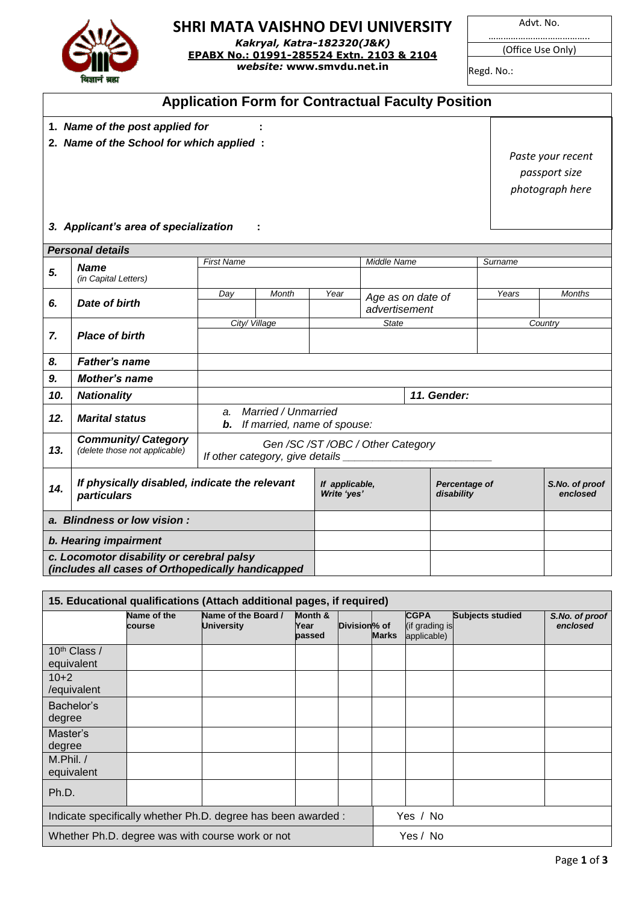

## **SHRI MATA VAISHNO DEVI UNIVERSITY**

*Kakryal, Katra-182320(J&K)* **EPABX No.: 01991-285524 Extn. 2103 & 2104** *website:* **www.smvdu.net.in**

Advt. No.

………………………………….. (Office Use Only)

Regd. No.:

## **Application Form for Contractual Faculty Position**

- **1.** *Name of the post applied for* **:**
- **2.** *Name of the School for which applied* **:**

*Paste your recent passport size photograph here*

## *3. Applicant's area of specialization* **:**

|                                                                                                | <b>Personal details</b>                                             |                   |                                                    |                               |                                    |                             |         |                            |  |  |
|------------------------------------------------------------------------------------------------|---------------------------------------------------------------------|-------------------|----------------------------------------------------|-------------------------------|------------------------------------|-----------------------------|---------|----------------------------|--|--|
| 5.                                                                                             | <b>Name</b><br>(in Capital Letters)                                 | <b>First Name</b> |                                                    |                               | Middle Name                        |                             | Surname |                            |  |  |
| 6.                                                                                             | Date of birth                                                       | Day               | Month                                              | Year                          | Age as on date of<br>advertisement |                             | Years   | <b>Months</b>              |  |  |
| 7.                                                                                             | <b>Place of birth</b>                                               | City/Village      |                                                    |                               | <b>State</b>                       |                             |         | Country                    |  |  |
| 8.                                                                                             | <b>Father's name</b>                                                |                   |                                                    |                               |                                    |                             |         |                            |  |  |
| 9.                                                                                             | <b>Mother's name</b>                                                |                   |                                                    |                               |                                    |                             |         |                            |  |  |
| 10.                                                                                            | <b>Nationality</b>                                                  |                   | 11. Gender:                                        |                               |                                    |                             |         |                            |  |  |
| 12.                                                                                            | <b>Marital status</b>                                               | a.<br>b.          | Married / Unmarried<br>If married, name of spouse: |                               |                                    |                             |         |                            |  |  |
| 13.                                                                                            | <b>Community/ Category</b><br>(delete those not applicable)         |                   | Gen /SC /ST /OBC / Other Category                  |                               |                                    |                             |         |                            |  |  |
| 14.                                                                                            | If physically disabled, indicate the relevant<br><b>particulars</b> |                   |                                                    | If applicable,<br>Write 'yes' |                                    | Percentage of<br>disability |         | S.No. of proof<br>enclosed |  |  |
| a. Blindness or low vision:                                                                    |                                                                     |                   |                                                    |                               |                                    |                             |         |                            |  |  |
| b. Hearing impairment                                                                          |                                                                     |                   |                                                    |                               |                                    |                             |         |                            |  |  |
| c. Locomotor disability or cerebral palsy<br>(includes all cases of Orthopedically handicapped |                                                                     |                   |                                                    |                               |                                    |                             |         |                            |  |  |

| 15. Educational qualifications (Attach additional pages, if required) |                       |                                          |                           |              |              |                                              |                         |                            |  |
|-----------------------------------------------------------------------|-----------------------|------------------------------------------|---------------------------|--------------|--------------|----------------------------------------------|-------------------------|----------------------------|--|
|                                                                       | Name of the<br>course | Name of the Board /<br><b>University</b> | Month &<br>Year<br>passed | Division% of | <b>Marks</b> | <b>CGPA</b><br>(if grading is<br>applicable) | <b>Subjects studied</b> | S.No. of proof<br>enclosed |  |
| 10 <sup>th</sup> Class /<br>equivalent                                |                       |                                          |                           |              |              |                                              |                         |                            |  |
| $10+2$<br>/equivalent                                                 |                       |                                          |                           |              |              |                                              |                         |                            |  |
| Bachelor's<br>degree                                                  |                       |                                          |                           |              |              |                                              |                         |                            |  |
| Master's<br>degree                                                    |                       |                                          |                           |              |              |                                              |                         |                            |  |
| $M.P$ hil. /<br>equivalent                                            |                       |                                          |                           |              |              |                                              |                         |                            |  |
| Ph.D.                                                                 |                       |                                          |                           |              |              |                                              |                         |                            |  |
| Indicate specifically whether Ph.D. degree has been awarded :         |                       |                                          |                           |              |              | Yes / No                                     |                         |                            |  |
| Yes / No<br>Whether Ph.D. degree was with course work or not          |                       |                                          |                           |              |              |                                              |                         |                            |  |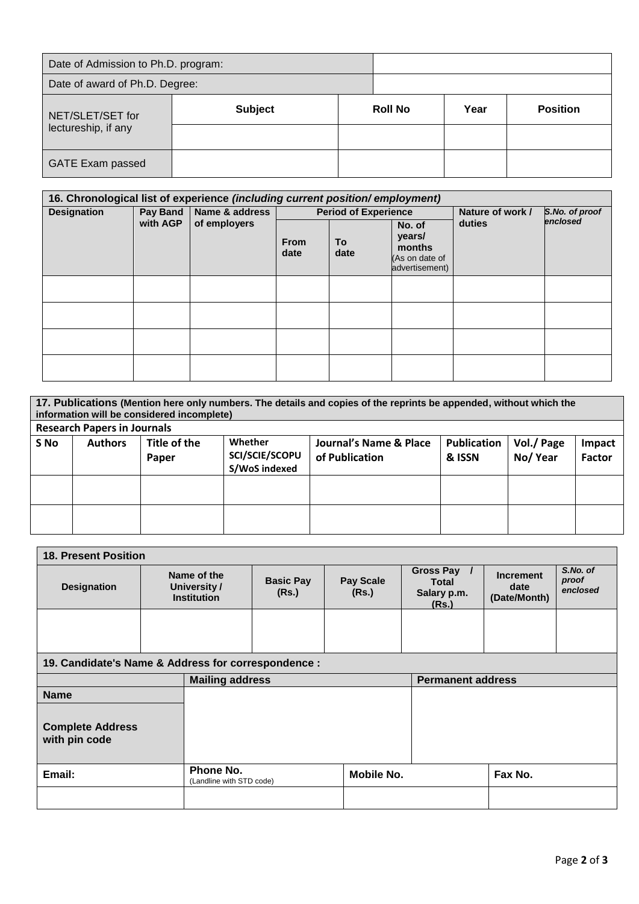| Date of Admission to Ph.D. program: |                |                |  |      |                 |  |  |
|-------------------------------------|----------------|----------------|--|------|-----------------|--|--|
| Date of award of Ph.D. Degree:      |                |                |  |      |                 |  |  |
| NET/SLET/SET for                    | <b>Subject</b> | <b>Roll No</b> |  | Year | <b>Position</b> |  |  |
| lectureship, if any                 |                |                |  |      |                 |  |  |
| <b>GATE Exam passed</b>             |                |                |  |      |                 |  |  |

| 16. Chronological list of experience (including current position/employment) |                      |                                |                     |                             |                                                                |                  |                            |  |  |
|------------------------------------------------------------------------------|----------------------|--------------------------------|---------------------|-----------------------------|----------------------------------------------------------------|------------------|----------------------------|--|--|
| <b>Designation</b>                                                           | Pay Band<br>with AGP | Name & address<br>of employers |                     | <b>Period of Experience</b> |                                                                | Nature of work / | S.No. of proof<br>enclosed |  |  |
|                                                                              |                      |                                | <b>From</b><br>date | To<br>date                  | No. of<br>years/<br>months<br>(As on date of<br>advertisement) | duties           |                            |  |  |
|                                                                              |                      |                                |                     |                             |                                                                |                  |                            |  |  |
|                                                                              |                      |                                |                     |                             |                                                                |                  |                            |  |  |
|                                                                              |                      |                                |                     |                             |                                                                |                  |                            |  |  |
|                                                                              |                      |                                |                     |                             |                                                                |                  |                            |  |  |

| 17. Publications (Mention here only numbers. The details and copies of the reprints be appended, without which the<br>information will be considered incomplete)<br><b>Research Papers in Journals</b> |                                                                                                                                                                                                                              |  |  |  |  |  |  |  |  |  |
|--------------------------------------------------------------------------------------------------------------------------------------------------------------------------------------------------------|------------------------------------------------------------------------------------------------------------------------------------------------------------------------------------------------------------------------------|--|--|--|--|--|--|--|--|--|
| S No                                                                                                                                                                                                   | Title of the<br>Whether<br>Journal's Name & Place<br><b>Publication</b><br>Vol./ Page<br><b>Authors</b><br>Impact<br><b>SCI/SCIE/SCOPU</b><br>No/Year<br>of Publication<br><b>Factor</b><br>& ISSN<br>Paper<br>S/WoS indexed |  |  |  |  |  |  |  |  |  |
|                                                                                                                                                                                                        |                                                                                                                                                                                                                              |  |  |  |  |  |  |  |  |  |
|                                                                                                                                                                                                        |                                                                                                                                                                                                                              |  |  |  |  |  |  |  |  |  |

| <b>18. Present Position</b>                         |  |                                                   |                                               |                           |                                              |                                          |                               |  |  |
|-----------------------------------------------------|--|---------------------------------------------------|-----------------------------------------------|---------------------------|----------------------------------------------|------------------------------------------|-------------------------------|--|--|
| <b>Designation</b>                                  |  | Name of the<br>University /<br><b>Institution</b> | <b>Basic Pay</b><br>(Rs.)                     | <b>Pay Scale</b><br>(Rs.) | Gross Pay /<br>Total<br>Salary p.m.<br>(Rs.) | <b>Increment</b><br>date<br>(Date/Month) | S.No. of<br>proof<br>enclosed |  |  |
|                                                     |  |                                                   |                                               |                           |                                              |                                          |                               |  |  |
| 19. Candidate's Name & Address for correspondence : |  |                                                   |                                               |                           |                                              |                                          |                               |  |  |
| <b>Permanent address</b><br><b>Mailing address</b>  |  |                                                   |                                               |                           |                                              |                                          |                               |  |  |
| <b>Name</b>                                         |  |                                                   |                                               |                           |                                              |                                          |                               |  |  |
| <b>Complete Address</b><br>with pin code            |  |                                                   |                                               |                           |                                              |                                          |                               |  |  |
| Email:                                              |  | Phone No.                                         | <b>Mobile No.</b><br>(Landline with STD code) |                           | Fax No.                                      |                                          |                               |  |  |
|                                                     |  |                                                   |                                               |                           |                                              |                                          |                               |  |  |